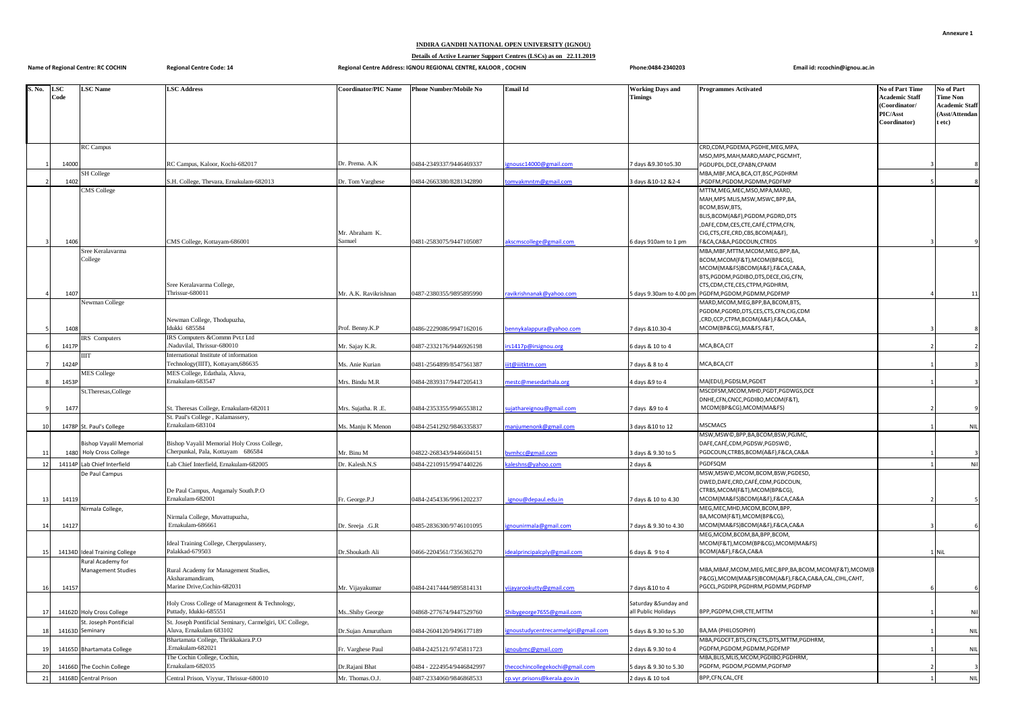## **INDIRA GANDHI NATIONAL OPEN UNIVERSITY (IGNOU)**

**Details of Active Learner Support Centres (LSCs) as on 22.11.2019**

| <b>Name of Regional Centre: RC COCHIN</b> |                    |                                                                        | <b>Regional Centre Code: 14</b>                                                     | Regional Centre Address: IGNOU REGIONAL CENTRE, KALOOR, COCHIN |                               |                                                                       | Phone:0484-2340203                           | Email id: rccochin@ignou.ac.in                                                                                                                                                   |                                                                                       |                                                                                    |
|-------------------------------------------|--------------------|------------------------------------------------------------------------|-------------------------------------------------------------------------------------|----------------------------------------------------------------|-------------------------------|-----------------------------------------------------------------------|----------------------------------------------|----------------------------------------------------------------------------------------------------------------------------------------------------------------------------------|---------------------------------------------------------------------------------------|------------------------------------------------------------------------------------|
| S. No.                                    | <b>LSC</b><br>Code | <b>LSC</b> Name                                                        | <b>LSC Address</b>                                                                  | Coordinator/PIC Name                                           | <b>Phone Number/Mobile No</b> | <b>Email Id</b>                                                       | <b>Working Days and</b><br><b>Timings</b>    | <b>Programmes Activated</b>                                                                                                                                                      | <b>No of Part Time</b><br>Academic Staff<br>(Coordinator/<br>PIC/Asst<br>Coordinator) | No of Part<br><b>Time Non</b><br><b>Academic Staff</b><br>(Asst/Attendan<br>t etc) |
|                                           |                    | <b>RC</b> Campus                                                       |                                                                                     |                                                                |                               |                                                                       |                                              | CRD,CDM,PGDEMA,PGDHE,MEG,MPA,                                                                                                                                                    |                                                                                       |                                                                                    |
|                                           | 14000              |                                                                        | RC Campus, Kaloor, Kochi-682017                                                     | Dr. Prema. A.K                                                 | 0484-2349337/9446469337       | ousc14000@gmail.com                                                   | days &9.30 to5.30                            | MSO, MPS, MAH, MARD, MAPC, PGCMHT,<br>PGDUPDL, DCE, CPABN, CPAKM                                                                                                                 |                                                                                       |                                                                                    |
|                                           | 1402               | <b>SH</b> College                                                      | S.H. College, Thevara, Ernakulam-682013                                             | Or. Tom Varghese                                               | 0484-2663380/8281342890       | mvakmntm@gmail.com                                                    | days &10-12 &2-4                             | MBA, MBF, MCA, BCA, CIT, BSC, PGDHRM<br>PGDFM,PGDOM,PGDMM,PGDFMP                                                                                                                 |                                                                                       |                                                                                    |
|                                           |                    | <b>MS College</b>                                                      |                                                                                     |                                                                |                               |                                                                       |                                              | MTTM, MEG, MEC, MSO, MPA, MARD,                                                                                                                                                  |                                                                                       |                                                                                    |
|                                           |                    |                                                                        |                                                                                     | Mr. Abraham K.                                                 |                               |                                                                       |                                              | MAH, MPS MLIS, MSW, MSWC, BPP, BA,<br>BCOM, BSW, BTS,<br>BLIS, BCOM(A&F), PGDDM, PGDRD, DTS<br>,DAFE,CDM,CES,CTE,CAFÉ,CTPM,CFN,<br>CIG, CTS, CFE, CRD, CBS, BCOM(A&F),           |                                                                                       |                                                                                    |
|                                           | 1406               | Sree Keralavarma                                                       | CMS College, Kottayam-686001                                                        | Samuel                                                         | 0481-2583075/9447105087       | akscmscollege@gmail.com                                               | 6 days 910am to 1 pm                         | F&CA,CA&A,PGDCOUN,CTRDS<br>MBA, MBF, MTTM, MCOM, MEG, BPP, BA,                                                                                                                   |                                                                                       |                                                                                    |
|                                           | 1407               | College                                                                | Sree Keralavarma College,<br>Thrissur-680011                                        | Mr. A.K. Ravikrishnan                                          | 0487-2380355/9895895990       | avikrishnanak@yahoo.com                                               | 5 days 9.30am to 4.00 pm                     | BCOM, MCOM(F&T), MCOM(BP&CG),<br>MCOM(MA&FS)BCOM(A&F),F&CA,CA&A,<br>BTS, PGDDM, PGDIBO, DTS, DECE, CIG, CFN,<br>CTS, CDM, CTE, CES, CTPM, PGDHRM,<br>PGDFM, PGDOM, PGDMM, PGDFMP |                                                                                       | 11                                                                                 |
|                                           |                    | Vewman College                                                         |                                                                                     |                                                                |                               |                                                                       |                                              | MARD, MCOM, MEG, BPP, BA, BCOM, BTS,<br>PGDDM,PGDRD,DTS,CES,CTS,CFN,CIG,CDM                                                                                                      |                                                                                       |                                                                                    |
|                                           |                    |                                                                        | Newman College, Thodupuzha,                                                         |                                                                |                               |                                                                       |                                              | CRD,CCP,CTPM,BCOM(A&F),F&CA,CA&A,                                                                                                                                                |                                                                                       |                                                                                    |
|                                           | 1408               | RS Computers                                                           | Idukki 685584<br>IRS Computers & Commn Pvt.t Ltd                                    | Prof. Benny.K.P                                                | 0486-2229086/9947162016       | ennykalappura@yahoo.com                                               | days &10.30-4                                | MCOM(BP&CG), MA&FS, F&T,                                                                                                                                                         |                                                                                       |                                                                                    |
|                                           | 1417P              |                                                                        | Naduvilal, Thrissur-680010                                                          | Mr. Sajay K.R.                                                 | 0487-2332176/9446926198       | rs1417p@irsignou.org                                                  | days & 10 to 4                               | MCA, BCA, CIT                                                                                                                                                                    |                                                                                       | $\overline{2}$                                                                     |
|                                           | 1424F              | ШT                                                                     | nternational Institute of information<br>Technology(IIIT), Kottayam, 686635         | Ms. Anie Kurian                                                | 0481-2564899/8547561387       | t@iiitktm.com                                                         | days & 8 to 4                                | MCA, BCA, CIT                                                                                                                                                                    |                                                                                       | $\overline{3}$                                                                     |
|                                           | 1453F              | <b>MES</b> College                                                     | MES College, Edathala, Aluva,<br>Ernakulam-683547                                   | Mrs. Bindu M.R                                                 | 0484-2839317/9447205413       | estc@mesedathala.org                                                  | 4 days &9 to 4                               | MA(EDU), PGDSLM, PGDET                                                                                                                                                           |                                                                                       |                                                                                    |
|                                           |                    | St.Theresas, College                                                   |                                                                                     |                                                                |                               |                                                                       |                                              | MSCDFSM, MCOM, MHD, PGDT, PGDWGS, DCE                                                                                                                                            |                                                                                       |                                                                                    |
|                                           | 1477               |                                                                        | St. Theresas College, Ernakulam-682011<br>St. Paul's College, Kalamassery,          | Mrs. Sujatha. R.E.                                             | 0484-2353355/9946553812       | ujathareignou@gmail.com                                               | days &9 to 4                                 | DNHE, CFN, CNCC, PGDIBO, MCOM (F&T),<br>MCOM(BP&CG), MCOM(MA&FS)                                                                                                                 |                                                                                       | -9                                                                                 |
| 10                                        |                    | 1478P St. Paul's College                                               | Ernakulam-683104                                                                    | Ms. Manju K Menon                                              | 0484-2541292/9846335837       | anjumenonk@gmail.com                                                  | 3 days & 10 to 12                            | <b>MSCMACS</b>                                                                                                                                                                   |                                                                                       | <b>NIL</b>                                                                         |
| 11                                        | 1480               | <b>Bishop Vayalil Memorial</b><br><b>Holy Cross College</b>            | Bishop Vayalil Memorial Holy Cross College,<br>Cherpunkal, Pala, Kottayam 686584    | Mr. Binu M                                                     | 04822-268343/9446604151       | mhcc@gmail.com                                                        | days & 9.30 to 5                             | MSW, MSW©, BPP, BA, BCOM, BSW, PGJMC,<br>DAFE,CAFÉ,CDM,PGDSW,PGDSW©,<br>PGDCOUN, CTRBS, BCOM(A&F), F&CA, CA&A                                                                    |                                                                                       |                                                                                    |
| 12                                        | 14114P             | ab Chief Interfield                                                    | ab Chief Interfield, Ernakulam-682005                                               | Or. Kalesh.N.S                                                 | 0484-2210915/9947440226       | aleshns@yahoo.com                                                     | days &                                       | PGDFSQM                                                                                                                                                                          |                                                                                       | Nil                                                                                |
| 13                                        | 14119              | De Paul Campus                                                         | De Paul Campus, Angamaly South.P.O<br>Ernakulam-682001                              | r. George.P.J                                                  | 0484-2454336/9961202237       | gnou@depaul.edu.in                                                    | days & 10 to 4.30                            | MSW, MSW©, MCOM, BCOM, BSW, PGDESD,<br>DWED, DAFE, CRD, CAFÉ, CDM, PGDCOUN,<br>CTRBS, MCOM(F&T), MCOM(BP&CG),<br>MCOM(MA&FS)BCOM(A&F),F&CA,CA&A                                  |                                                                                       |                                                                                    |
| 14                                        | 14127              | Virmala College,                                                       | Virmala College, Muvattupuzha,<br>Ernakulam-686661                                  | Or. Sreeja .G.R                                                | 0485-2836300/9746101095       | nirmala@gmail.com                                                     | days & 9.30 to 4.30                          | MEG, MEC, MHD, MCOM, BCOM, BPP,<br>BA, MCOM(F&T), MCOM(BP&CG),<br>MCOM(MA&FS)BCOM(A&F),F&CA,CA&A                                                                                 |                                                                                       |                                                                                    |
| 15                                        |                    | 14134D Ideal Training College                                          | Ideal Training College, Cherppulassery,<br>Palakkad-679503                          | Dr.Shoukath Ali                                                | 0466-2204561/7356365270       | lealprincipalcply@gmail.com                                           | days & 9 to 4                                | MEG, MCOM, BCOM, BA, BPP, BCOM,<br>MCOM(F&T), MCOM(BP&CG), MCOM(MA&FS)<br>BCOM(A&F),F&CA,CA&A                                                                                    |                                                                                       | 1 NiL                                                                              |
|                                           |                    | Rural Academy for<br>Management Studies                                | Rural Academy for Management Studies,<br>Aksharamandiram,                           |                                                                |                               |                                                                       |                                              | MBA, MBAF, MCOM, MEG, MEC, BPP, BA, BCOM, MCOM (F&T), MCOM (B<br>P&CG), MCOM(MA&FS)BCOM(A&F), F&CA, CA&A, CAL, CIHL, CAHT,                                                       |                                                                                       |                                                                                    |
| 16                                        | 14157              |                                                                        | Marine Drive, Cochin-682031                                                         | Mr. Vijayakumar                                                | 0484-2417444/9895814131       | ijayarookutty@gmail.com                                               | days &10 to 4                                | PGCCL,PGDIPR,PGDHRM,PGDMM,PGDFMP                                                                                                                                                 |                                                                                       |                                                                                    |
|                                           |                    |                                                                        | Holy Cross College of Management & Technology,<br>Puttady, Idukki-685551            |                                                                | 04868-277674/9447529760       |                                                                       | Saturday & Sunday and<br>all Public Holidays | BPP,PGDPM,CHR,CTE,MTTM                                                                                                                                                           |                                                                                       | Nil                                                                                |
| 17<br>18                                  |                    | 14162D Holy Cross College<br>st. Joseph Pontificial<br>14163D Seminary | St. Joseph Pontificial Seminary, Carmelgiri, UC College,<br>Aluva, Ernakulam 683102 | MsShiby George<br>Dr.Sujan Amurutham                           | 0484-2604120/9496177189       | hibygeorge7655@gmail.com<br><b>moustudycentrecarmelgiri@gmail.com</b> | days & 9.30 to 5.30                          | BA, MA (PHILOSOPHY)                                                                                                                                                              |                                                                                       | <b>NIL</b>                                                                         |
|                                           |                    |                                                                        | Bhartamata College, Thrikkakara.P.O<br>Ernakulam-682021                             |                                                                |                               |                                                                       |                                              | MBA, PGDCFT, BTS, CFN, CTS, DTS, MTTM, PGDHRM,<br>PGDFM,PGDOM,PGDMM,PGDFMP                                                                                                       |                                                                                       |                                                                                    |
| -19                                       |                    | 14165D Bhartamata College                                              | The Cochin College, Cochin,                                                         | Fr. Varghese Paul                                              | 0484-2425121/9745811723       | noubmc@gmail.com                                                      | 2 days & 9.30 to 4                           | MBA, BLIS, MLIS, MCOM, PGDIBO, PGDHRM,                                                                                                                                           |                                                                                       | <b>NIL</b>                                                                         |
| 20                                        |                    | 14166D The Cochin College                                              | Ernakulam-682035                                                                    | Dr.Rajani Bhat                                                 | 0484 - 2224954/9446842997     | hecochincollegekochi@gmail.com                                        | days & 9.30 to 5.30                          | PGDFM, PGDOM, PGDMM, PGDFMP                                                                                                                                                      |                                                                                       |                                                                                    |
| 21                                        |                    | 14168D Central Prison                                                  | Central Prison, Viyyur, Thrissur-680010                                             | Mr. Thomas.O.J.                                                | 0487-2334060/9846868533       | cp.vyr.prisons@kerala.gov.in                                          | 2 days & 10 to4                              | BPP,CFN,CAL,CFE                                                                                                                                                                  |                                                                                       | <b>NIL</b>                                                                         |